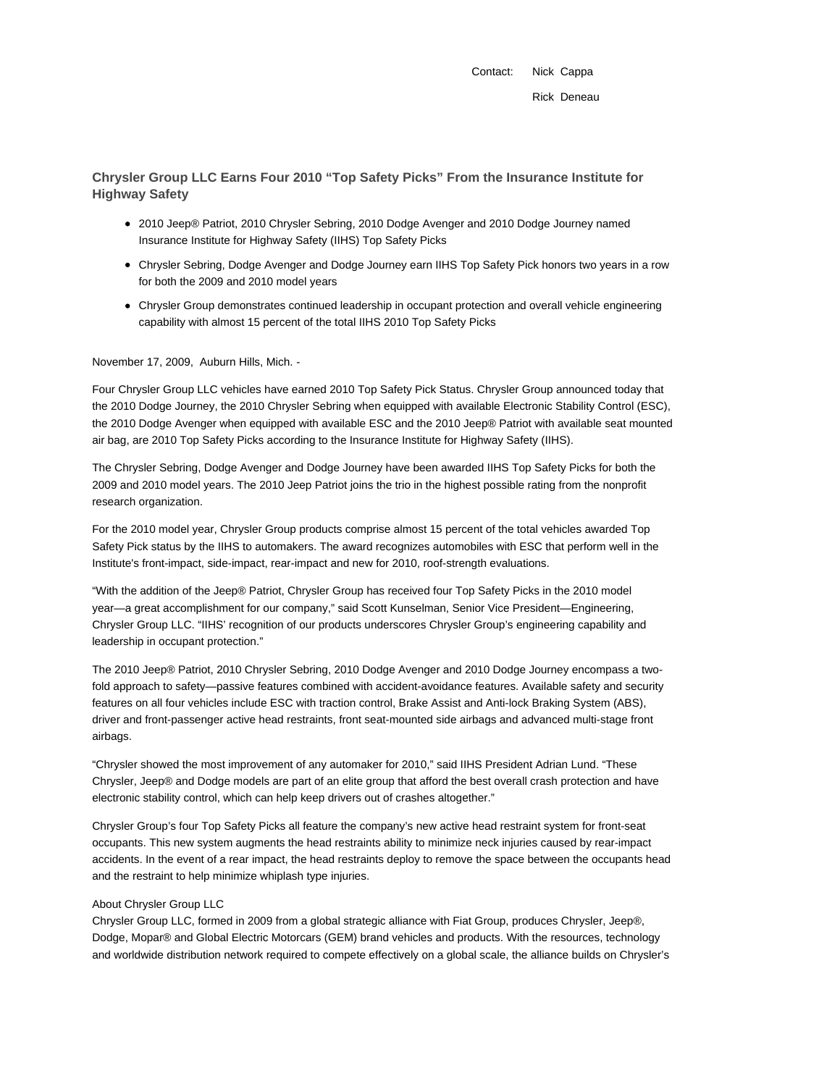Contact: Nick Cappa Rick Deneau

**Chrysler Group LLC Earns Four 2010 "Top Safety Picks" From the Insurance Institute for Highway Safety**

- 2010 Jeep® Patriot, 2010 Chrysler Sebring, 2010 Dodge Avenger and 2010 Dodge Journey named Insurance Institute for Highway Safety (IIHS) Top Safety Picks
- Chrysler Sebring, Dodge Avenger and Dodge Journey earn IIHS Top Safety Pick honors two years in a row for both the 2009 and 2010 model years
- Chrysler Group demonstrates continued leadership in occupant protection and overall vehicle engineering capability with almost 15 percent of the total IIHS 2010 Top Safety Picks

November 17, 2009, Auburn Hills, Mich. -

Four Chrysler Group LLC vehicles have earned 2010 Top Safety Pick Status. Chrysler Group announced today that the 2010 Dodge Journey, the 2010 Chrysler Sebring when equipped with available Electronic Stability Control (ESC), the 2010 Dodge Avenger when equipped with available ESC and the 2010 Jeep® Patriot with available seat mounted air bag, are 2010 Top Safety Picks according to the Insurance Institute for Highway Safety (IIHS).

The Chrysler Sebring, Dodge Avenger and Dodge Journey have been awarded IIHS Top Safety Picks for both the 2009 and 2010 model years. The 2010 Jeep Patriot joins the trio in the highest possible rating from the nonprofit research organization.

For the 2010 model year, Chrysler Group products comprise almost 15 percent of the total vehicles awarded Top Safety Pick status by the IIHS to automakers. The award recognizes automobiles with ESC that perform well in the Institute's front-impact, side-impact, rear-impact and new for 2010, roof-strength evaluations.

"With the addition of the Jeep® Patriot, Chrysler Group has received four Top Safety Picks in the 2010 model year—a great accomplishment for our company," said Scott Kunselman, Senior Vice President—Engineering, Chrysler Group LLC. "IIHS' recognition of our products underscores Chrysler Group's engineering capability and leadership in occupant protection."

The 2010 Jeep® Patriot, 2010 Chrysler Sebring, 2010 Dodge Avenger and 2010 Dodge Journey encompass a twofold approach to safety—passive features combined with accident-avoidance features. Available safety and security features on all four vehicles include ESC with traction control, Brake Assist and Anti-lock Braking System (ABS), driver and front-passenger active head restraints, front seat-mounted side airbags and advanced multi-stage front airbags.

"Chrysler showed the most improvement of any automaker for 2010," said IIHS President Adrian Lund. "These Chrysler, Jeep® and Dodge models are part of an elite group that afford the best overall crash protection and have electronic stability control, which can help keep drivers out of crashes altogether."

Chrysler Group's four Top Safety Picks all feature the company's new active head restraint system for front-seat occupants. This new system augments the head restraints ability to minimize neck injuries caused by rear-impact accidents. In the event of a rear impact, the head restraints deploy to remove the space between the occupants head and the restraint to help minimize whiplash type injuries.

## About Chrysler Group LLC

Chrysler Group LLC, formed in 2009 from a global strategic alliance with Fiat Group, produces Chrysler, Jeep®, Dodge, Mopar® and Global Electric Motorcars (GEM) brand vehicles and products. With the resources, technology and worldwide distribution network required to compete effectively on a global scale, the alliance builds on Chrysler's